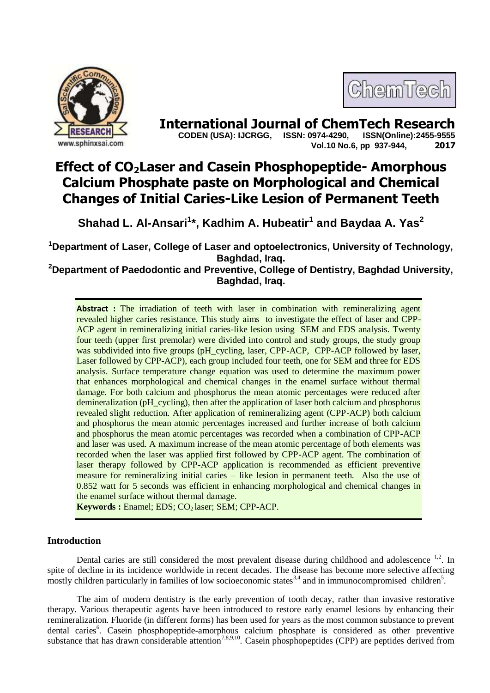



**International Journal of ChemTech Research CODEN (USA): IJCRGG. ISSN: 0974-4290. ISSN(Online):2455-9555 CODEN (USA): IJCRGG, ISSN: 0974-4290, Vol.10 No.6, pp 937-944, 2017**

# **Effect of CO2Laser and Casein Phosphopeptide- Amorphous Calcium Phosphate paste on Morphological and Chemical Changes of Initial Caries-Like Lesion of Permanent Teeth**

**Shahad L. Al-Ansari<sup>1</sup> \*, Kadhim A. Hubeatir<sup>1</sup> and Baydaa A. Yas<sup>2</sup>**

**<sup>1</sup>Department of Laser, College of Laser and optoelectronics, University of Technology, Baghdad, Iraq.**

**<sup>2</sup>Department of Paedodontic and Preventive, College of Dentistry, Baghdad University, Baghdad, Iraq.**

Abstract : The irradiation of teeth with laser in combination with remineralizing agent revealed higher caries resistance. This study aims to investigate the effect of laser and CPP-ACP agent in remineralizing initial caries-like lesion using SEM and EDS analysis. Twenty four teeth (upper first premolar) were divided into control and study groups, the study group was subdivided into five groups (pH\_cycling, laser, CPP-ACP, CPP-ACP followed by laser, Laser followed by CPP-ACP), each group included four teeth, one for SEM and three for EDS analysis. Surface temperature change equation was used to determine the maximum power that enhances morphological and chemical changes in the enamel surface without thermal damage. For both calcium and phosphorus the mean atomic percentages were reduced after demineralization (pH\_cycling), then after the application of laser both calcium and phosphorus revealed slight reduction. After application of remineralizing agent (CPP-ACP) both calcium and phosphorus the mean atomic percentages increased and further increase of both calcium and phosphorus the mean atomic percentages was recorded when a combination of CPP-ACP and laser was used. A maximum increase of the mean atomic percentage of both elements was recorded when the laser was applied first followed by CPP-ACP agent. The combination of laser therapy followed by CPP-ACP application is recommended as efficient preventive measure for remineralizing initial caries – like lesion in permanent teeth. Also the use of 0.852 watt for 5 seconds was efficient in enhancing morphological and chemical changes in the enamel surface without thermal damage.

**Keywords**: Enamel; EDS; CO<sub>2</sub> laser; SEM; CPP-ACP.

## **Introduction**

Dental caries are still considered the most prevalent disease during childhood and adolescence  $1,2$ . In spite of decline in its incidence worldwide in recent decades. The disease has become more selective affecting mostly children particularly in families of low socioeconomic states<sup>3,4</sup> and in immunocompromised children<sup>5</sup>.

The aim of modern dentistry is the early prevention of tooth decay, rather than invasive restorative therapy. Various therapeutic agents have been introduced to restore early enamel lesions by enhancing their remineralization. Fluoride (in different forms) has been used for years as the most common substance to prevent dental caries<sup>6</sup>. Casein phosphopeptide-amorphous calcium phosphate is considered as other preventive substance that has drawn considerable attention<sup>7,8,9,10</sup>. Casein phosphopeptides (CPP) are peptides derived from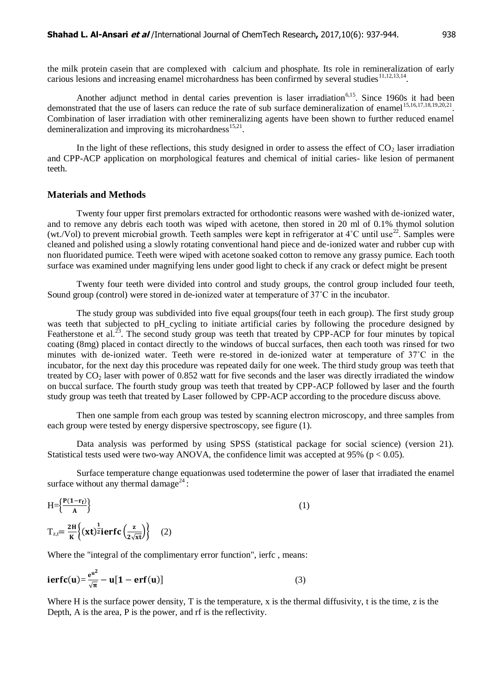the milk protein casein that are complexed with calcium and phosphate. Its role in remineralization of early carious lesions and increasing enamel microhardness has been confirmed by several studies <sup>11,12,13,14</sup>.

Another adjunct method in dental caries prevention is laser irradiation<sup>6,15</sup>. Since 1960s it had been demonstrated that the use of lasers can reduce the rate of sub surface demineralization of enamel<sup>15,16,17,18,19,20,21</sup>. Combination of laser irradiation with other remineralizing agents have been shown to further reduced enamel demineralization and improving its microhardness $^{15,21}$ .

In the light of these reflections, this study designed in order to assess the effect of  $CO<sub>2</sub>$  laser irradiation and CPP-ACP application on morphological features and chemical of initial caries- like lesion of permanent teeth.

## **Materials and Methods**

Twenty four upper first premolars extracted for orthodontic reasons were washed with de-ionized water, and to remove any debris each tooth was wiped with acetone, then stored in 20 ml of 0.1% thymol solution (wt./Vol) to prevent microbial growth. Teeth samples were kept in refrigerator at  $4^{\circ}$ C until use<sup>22</sup>. Samples were cleaned and polished using a slowly rotating conventional hand piece and de-ionized water and rubber cup with non fluoridated pumice. Teeth were wiped with acetone soaked cotton to remove any grassy pumice. Each tooth surface was examined under magnifying lens under good light to check if any crack or defect might be present

Twenty four teeth were divided into control and study groups, the control group included four teeth, Sound group (control) were stored in de-ionized water at temperature of 37°C in the incubator.

The study group was subdivided into five equal groups(four teeth in each group). The first study group was teeth that subjected to pH cycling to initiate artificial caries by following the procedure designed by Featherstone et al.<sup>23</sup>. The second study group was teeth that treated by CPP-ACP for four minutes by topical coating (8mg) placed in contact directly to the windows of buccal surfaces, then each tooth was rinsed for two minutes with de-ionized water. Teeth were re-stored in de-ionized water at temperature of 37˚C in the incubator, for the next day this procedure was repeated daily for one week. The third study group was teeth that treated by  $CO<sub>2</sub>$  laser with power of 0.852 watt for five seconds and the laser was directly irradiated the window on buccal surface. The fourth study group was teeth that treated by CPP-ACP followed by laser and the fourth study group was teeth that treated by Laser followed by CPP-ACP according to the procedure discuss above.

Then one sample from each group was tested by scanning electron microscopy, and three samples from each group were tested by energy dispersive spectroscopy, see figure (1).

Data analysis was performed by using SPSS (statistical package for social science) (version 21). Statistical tests used were two-way ANOVA, the confidence limit was accepted at 95% ( $p < 0.05$ ).

Surface temperature change equationwas used todetermine the power of laser that irradiated the enamel surface without any thermal damage<sup>24</sup>:

$$
H = \left\{ \frac{P(1 - r_f)}{A} \right\}
$$
  
\n
$$
T_{z,t} = \frac{2H}{K} \left\{ (\mathbf{x}t)^{\frac{1}{2}} \mathbf{i} \mathbf{erfc} \left( \frac{\mathbf{z}}{2\sqrt{\mathbf{x}t}} \right) \right\}
$$
 (2)

Where the "integral of the complimentary error function", ierfc , means:

$$
ierfc(u) = \frac{e^{u^2}}{\sqrt{\pi}} - u[1 - erf(u)] \tag{3}
$$

Where H is the surface power density, T is the temperature, x is the thermal diffusivity, t is the time, z is the Depth, A is the area, P is the power, and rf is the reflectivity.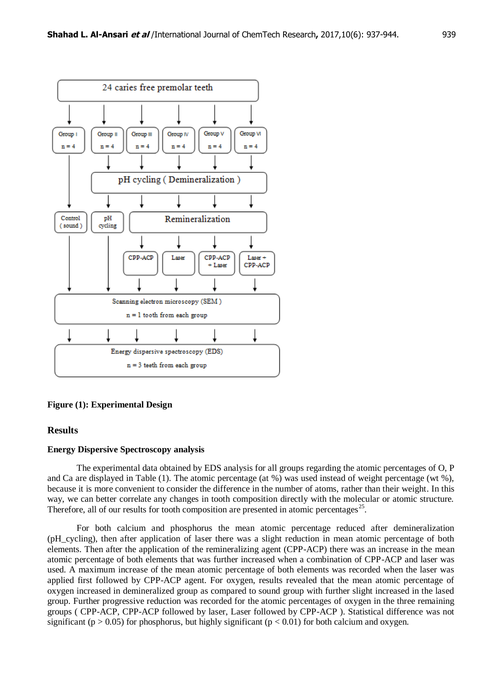

#### **Figure (1): Experimental Design**

## **Results**

#### **Energy Dispersive Spectroscopy analysis**

The experimental data obtained by EDS analysis for all groups regarding the atomic percentages of O, P and Ca are displayed in Table (1). The atomic percentage (at %) was used instead of weight percentage (wt %), because it is more convenient to consider the difference in the number of atoms, rather than their weight. In this way, we can better correlate any changes in tooth composition directly with the molecular or atomic structure. Therefore, all of our results for tooth composition are presented in atomic percentages<sup>25</sup>.

For both calcium and phosphorus the mean atomic percentage reduced after demineralization (pH\_cycling), then after application of laser there was a slight reduction in mean atomic percentage of both elements. Then after the application of the remineralizing agent (CPP-ACP) there was an increase in the mean atomic percentage of both elements that was further increased when a combination of CPP-ACP and laser was used. A maximum increase of the mean atomic percentage of both elements was recorded when the laser was applied first followed by CPP-ACP agent. For oxygen, results revealed that the mean atomic percentage of oxygen increased in demineralized group as compared to sound group with further slight increased in the lased group. Further progressive reduction was recorded for the atomic percentages of oxygen in the three remaining groups ( CPP-ACP, CPP-ACP followed by laser, Laser followed by CPP-ACP ). Statistical difference was not significant ( $p > 0.05$ ) for phosphorus, but highly significant ( $p < 0.01$ ) for both calcium and oxygen.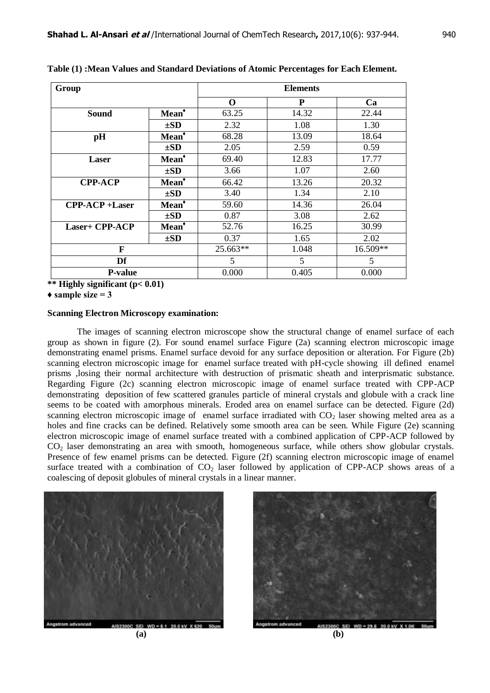| Group                           |                   | <b>Elements</b> |       |          |
|---------------------------------|-------------------|-----------------|-------|----------|
|                                 |                   | $\mathbf 0$     | P     | Ca       |
| <b>Sound</b>                    | Mean <sup>*</sup> | 63.25           | 14.32 | 22.44    |
|                                 | $\pm SD$          | 2.32            | 1.08  | 1.30     |
| pH                              | Mean <sup>*</sup> | 68.28           | 13.09 | 18.64    |
|                                 | $\pm SD$          | 2.05            | 2.59  | 0.59     |
| Laser                           | Mean <sup>*</sup> | 69.40           | 12.83 | 17.77    |
|                                 | $\pm SD$          | 3.66            | 1.07  | 2.60     |
| <b>CPP-ACP</b>                  | Mean <sup>*</sup> | 66.42           | 13.26 | 20.32    |
|                                 | $\pm SD$          | 3.40            | 1.34  | 2.10     |
| $\text{CPP-ACP} + \text{Laser}$ | Mean <sup>*</sup> | 59.60           | 14.36 | 26.04    |
|                                 | $\pm SD$          | 0.87            | 3.08  | 2.62     |
| <b>Laser+ CPP-ACP</b>           | Mean <sup>*</sup> | 52.76           | 16.25 | 30.99    |
|                                 | $\pm SD$          | 0.37            | 1.65  | 2.02     |
| F                               |                   | $25.663**$      | 1.048 | 16.509** |
| Df                              |                   | 5               | 5     | 5        |
| <b>P-value</b>                  |                   | 0.000           | 0.405 | 0.000    |

**Table (1) :Mean Values and Standard Deviations of Atomic Percentages for Each Element.**

**\*\* Highly significant (p< 0.01)**

 $\triangle$  sample size = 3

#### **Scanning Electron Microscopy examination:**

The images of scanning electron microscope show the structural change of enamel surface of each group as shown in figure (2). For sound enamel surface Figure (2a) scanning electron microscopic image demonstrating enamel prisms. Enamel surface devoid for any surface deposition or alteration. For Figure (2b) scanning electron microscopic image for enamel surface treated with pH-cycle showing ill defined enamel prisms ,losing their normal architecture with destruction of prismatic sheath and interprismatic substance. Regarding Figure (2c) scanning electron microscopic image of enamel surface treated with CPP-ACP demonstrating deposition of few scattered granules particle of mineral crystals and globule with a crack line seems to be coated with amorphous minerals. Eroded area on enamel surface can be detected. Figure (2d) scanning electron microscopic image of enamel surface irradiated with  $CO<sub>2</sub>$  laser showing melted area as a holes and fine cracks can be defined. Relatively some smooth area can be seen. While Figure (2e) scanning electron microscopic image of enamel surface treated with a combined application of CPP-ACP followed by CO<sup>2</sup> laser demonstrating an area with smooth, homogeneous surface, while others show globular crystals. Presence of few enamel prisms can be detected. Figure (2f) scanning electron microscopic image of enamel surface treated with a combination of  $CO<sub>2</sub>$  laser followed by application of CPP-ACP shows areas of a coalescing of deposit globules of mineral crystals in a linear manner.





 $00C$  SEI WD = 29.8 20.0 kV X 1.0 **(a) (b)**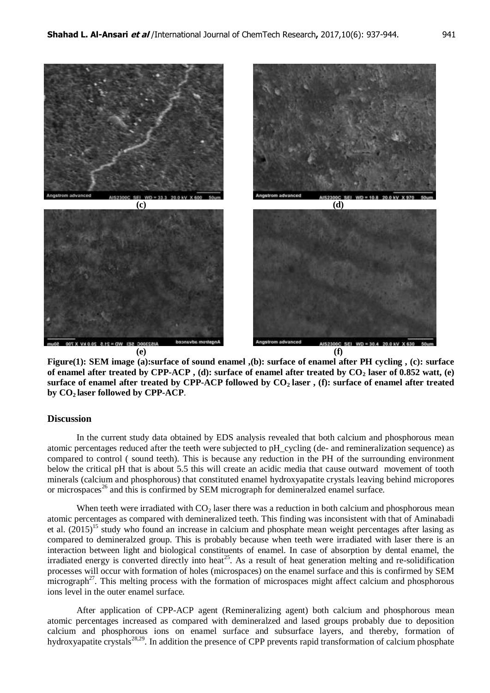

**Figure(1): SEM image (a):surface of sound enamel ,(b): surface of enamel after PH cycling , (c): surface of enamel after treated by CPP-ACP , (d): surface of enamel after treated by CO<sup>2</sup> laser of 0.852 watt, (e) surface of enamel after treated by CPP-ACP followed by CO2 laser , (f): surface of enamel after treated by CO2 laser followed by CPP-ACP**.

## **Discussion**

In the current study data obtained by EDS analysis revealed that both calcium and phosphorous mean atomic percentages reduced after the teeth were subjected to pH\_cycling (de- and remineralization sequence) as compared to control ( sound teeth). This is because any reduction in the PH of the surrounding environment below the critical pH that is about 5.5 this will create an acidic media that cause outward movement of tooth minerals (calcium and phosphorous) that constituted enamel hydroxyapatite crystals leaving behind micropores or microspaces<sup>26</sup> and this is confirmed by SEM micrograph for demineralzed enamel surface.

When teeth were irradiated with  $CO<sub>2</sub>$  laser there was a reduction in both calcium and phosphorous mean atomic percentages as compared with demineralized teeth. This finding was inconsistent with that of Aminabadi et al.  $(2015)^{15}$  study who found an increase in calcium and phosphate mean weight percentages after lasing as compared to demineralzed group. This is probably because when teeth were irradiated with laser there is an interaction between light and biological constituents of enamel. In case of absorption by dental enamel, the irradiated energy is converted directly into heat<sup>25</sup>. As a result of heat generation melting and re-solidification processes will occur with formation of holes (microspaces) on the enamel surface and this is confirmed by SEM  $\text{micrograph}^{27}$ . This melting process with the formation of microspaces might affect calcium and phosphorous ions level in the outer enamel surface.

After application of CPP-ACP agent (Remineralizing agent) both calcium and phosphorous mean atomic percentages increased as compared with demineralzed and lased groups probably due to deposition calcium and phosphorous ions on enamel surface and subsurface layers, and thereby, formation of hydroxyapatite crystals<sup>28,29</sup>. In addition the presence of CPP prevents rapid transformation of calcium phosphate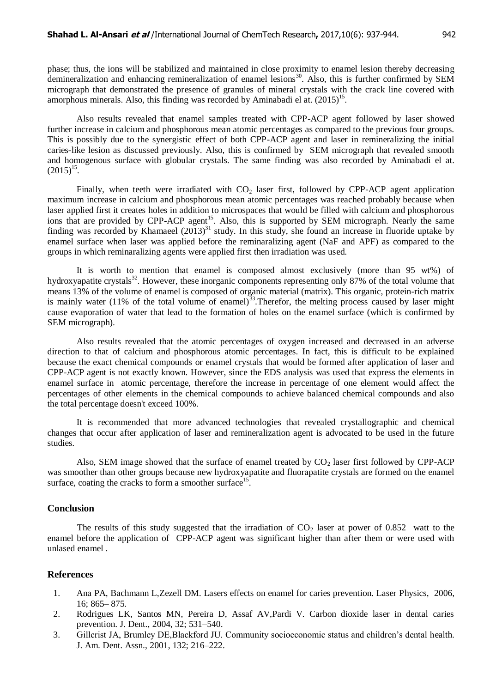phase; thus, the ions will be stabilized and maintained in close proximity to enamel lesion thereby decreasing demineralization and enhancing remineralization of enamel lesions<sup>30</sup>. Also, this is further confirmed by SEM micrograph that demonstrated the presence of granules of mineral crystals with the crack line covered with amorphous minerals. Also, this finding was recorded by Aminabadi el at.  $(2015)^{15}$ .

Also results revealed that enamel samples treated with CPP-ACP agent followed by laser showed further increase in calcium and phosphorous mean atomic percentages as compared to the previous four groups. This is possibly due to the synergistic effect of both CPP-ACP agent and laser in remineralizing the initial caries-like lesion as discussed previously. Also, this is confirmed by SEM micrograph that revealed smooth and homogenous surface with globular crystals. The same finding was also recorded by Aminabadi el at.  $(2015)^{15}$ .

Finally, when teeth were irradiated with  $CO<sub>2</sub>$  laser first, followed by CPP-ACP agent application maximum increase in calcium and phosphorous mean atomic percentages was reached probably because when laser applied first it creates holes in addition to microspaces that would be filled with calcium and phosphorous ions that are provided by CPP-ACP agent<sup>15</sup>. Also, this is supported by SEM micrograph. Nearly the same finding was recorded by Khamaeel  $(2013)^{31}$  study. In this study, she found an increase in fluoride uptake by enamel surface when laser was applied before the reminaralizing agent (NaF and APF) as compared to the groups in which reminaralizing agents were applied first then irradiation was used.

It is worth to mention that enamel is composed almost exclusively (more than 95 wt%) of hydroxyapatite crystals<sup>32</sup>. However, these inorganic components representing only 87% of the total volume that means 13% of the volume of enamel is composed of organic material (matrix). This organic, protein-rich matrix is mainly water (11% of the total volume of enamel)<sup>33</sup>. Therefor, the melting process caused by laser might cause evaporation of water that lead to the formation of holes on the enamel surface (which is confirmed by SEM micrograph).

Also results revealed that the atomic percentages of oxygen increased and decreased in an adverse direction to that of calcium and phosphorous atomic percentages. In fact, this is difficult to be explained because the exact chemical compounds or enamel crystals that would be formed after application of laser and CPP-ACP agent is not exactly known. However, since the EDS analysis was used that express the elements in enamel surface in atomic percentage, therefore the increase in percentage of one element would affect the percentages of other elements in the chemical compounds to achieve balanced chemical compounds and also the total percentage doesn't exceed 100%.

It is recommended that more advanced technologies that revealed crystallographic and chemical changes that occur after application of laser and remineralization agent is advocated to be used in the future studies.

Also, SEM image showed that the surface of enamel treated by  $CO<sub>2</sub>$  laser first followed by CPP-ACP was smoother than other groups because new hydroxyapatite and fluorapatite crystals are formed on the enamel surface, coating the cracks to form a smoother surface<sup>15</sup>.

### **Conclusion**

The results of this study suggested that the irradiation of  $CO<sub>2</sub>$  laser at power of 0.852 watt to the enamel before the application of CPP-ACP agent was significant higher than after them or were used with unlased enamel .

## **References**

- 1. Ana PA, Bachmann L,Zezell DM. Lasers effects on enamel for caries prevention. Laser Physics, 2006, 16; 865– 875.
- 2. Rodrigues LK, Santos MN, Pereira D, Assaf AV,Pardi V. Carbon dioxide laser in dental caries prevention. J. Dent., 2004, 32; 531–540.
- 3. Gillcrist JA, Brumley DE,Blackford JU. Community socioeconomic status and children's dental health. J. Am. Dent. Assn., 2001, 132; 216–222.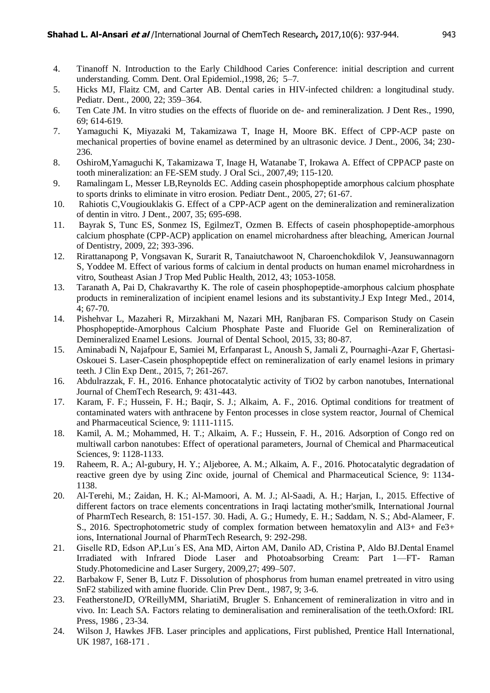- 4. Tinanoff N. Introduction to the Early Childhood Caries Conference: initial description and current understanding. Comm. Dent. Oral Epidemiol.,1998, 26; 5–7.
- 5. Hicks MJ, Flaitz CM, and Carter AB. Dental caries in HIV-infected children: a longitudinal study. Pediatr. Dent., 2000, 22; 359–364.
- 6. Ten Cate JM. In vitro studies on the effects of fluoride on de- and remineralization. J Dent Res., 1990, 69; 614-619.
- 7. Yamaguchi K, Miyazaki M, Takamizawa T, Inage H, Moore BK. Effect of CPP-ACP paste on mechanical properties of bovine enamel as determined by an ultrasonic device. J Dent., 2006, 34; 230- 236.
- 8. OshiroM,Yamaguchi K, Takamizawa T, Inage H, Watanabe T, Irokawa A. Effect of CPPACP paste on tooth mineralization: an FE-SEM study. J Oral Sci., 2007,49; 115-120.
- 9. Ramalingam L, Messer LB,Reynolds EC. Adding casein phosphopeptide amorphous calcium phosphate to sports drinks to eliminate in vitro erosion. Pediatr Dent., 2005, 27; 61-67.
- 10. Rahiotis C,Vougiouklakis G. Effect of a CPP-ACP agent on the demineralization and remineralization of dentin in vitro. J Dent., 2007, 35; 695-698.
- 11. Bayrak S, Tunc ES, Sonmez IS, EgilmezT, Ozmen B. Effects of casein phosphopeptide-amorphous calcium phosphate (CPP-ACP) application on enamel microhardness after bleaching, American Journal of Dentistry, 2009, 22; 393-396.
- 12. Rirattanapong P, Vongsavan K, Surarit R, Tanaiutchawoot N, Charoenchokdilok V, Jeansuwannagorn S, Yoddee M. Effect of various forms of calcium in dental products on human enamel microhardness in vitro, Southeast Asian J Trop Med Public Health, 2012, 43; 1053-1058.
- 13. Taranath A, Pai D, Chakravarthy K. The role of casein phosphopeptide-amorphous calcium phosphate products in remineralization of incipient enamel lesions and its substantivity[.J Exp Integr Med.](http://www.scopemed.org/?jid=4), 2014, 4; 67-70.
- 14. Pishehvar L, Mazaheri R, Mirzakhani M, Nazari MH, Ranjbaran FS. Comparison Study on Casein Phosphopeptide-Amorphous Calcium Phosphate Paste and Fluoride Gel on Remineralization of Demineralized Enamel Lesions. Journal of Dental School, 2015, 33; 80-87.
- 15. Aminabadi N, Najafpour E, Samiei M, Erfanparast L, Anoush S, Jamali Z, Pournaghi-Azar F, Ghertasi-Oskouei S. Laser-Casein phosphopeptide effect on remineralization of early enamel lesions in primary teeth. J Clin Exp Dent., 2015, 7; 261-267.
- 16. Abdulrazzak, F. H., 2016. Enhance photocatalytic activity of TiO2 by carbon nanotubes, International Journal of ChemTech Research, 9: 431-443.
- 17. Karam, F. F.; Hussein, F. H.; Baqir, S. J.; Alkaim, A. F., 2016. Optimal conditions for treatment of contaminated waters with anthracene by Fenton processes in close system reactor, Journal of Chemical and Pharmaceutical Science, 9: 1111-1115.
- 18. Kamil, A. M.; Mohammed, H. T.; Alkaim, A. F.; Hussein, F. H., 2016. Adsorption of Congo red on multiwall carbon nanotubes: Effect of operational parameters, Journal of Chemical and Pharmaceutical Sciences, 9: 1128-1133.
- 19. Raheem, R. A.; Al-gubury, H. Y.; Aljeboree, A. M.; Alkaim, A. F., 2016. Photocatalytic degradation of reactive green dye by using Zinc oxide, journal of Chemical and Pharmaceutical Science, 9: 1134- 1138.
- 20. Al-Terehi, M.; Zaidan, H. K.; Al-Mamoori, A. M. J.; Al-Saadi, A. H.; Harjan, I., 2015. Effective of different factors on trace elements concentrations in Iraqi lactating mother'smilk, International Journal of PharmTech Research, 8: 151-157. 30. Hadi, A. G.; Humedy, E. H.; Saddam, N. S.; Abd-Alameer, F. S., 2016. Spectrophotometric study of complex formation between hematoxylin and Al3+ and Fe3+ ions, International Journal of PharmTech Research, 9: 292-298.
- 21. Giselle RD, Edson AP,Luı´s ES, Ana MD, Airton AM, Danilo AD, Cristina P, Aldo BJ.Dental Enamel Irradiated with Infrared Diode Laser and Photoabsorbing Cream: Part 1—FT- Raman Study.Photomedicine and Laser Surgery, 2009,27; 499–507.
- 22. Barbakow F, Sener B, Lutz F. Dissolution of phosphorus from human enamel pretreated in vitro using SnF2 stabilized with amine fluoride. Clin Prev Dent., 1987, 9; 3-6.
- 23. FeatherstoneJD, O'ReillyMM, ShariatiM, Brugler S. Enhancement of remineralization in vitro and in vivo. In: Leach SA. Factors relating to demineralisation and remineralisation of the teeth.Oxford: IRL Press, 1986 , 23-34.
- 24. Wilson J, Hawkes JFB. Laser principles and applications, First published, Prentice Hall International, UK 1987, 168-171 .